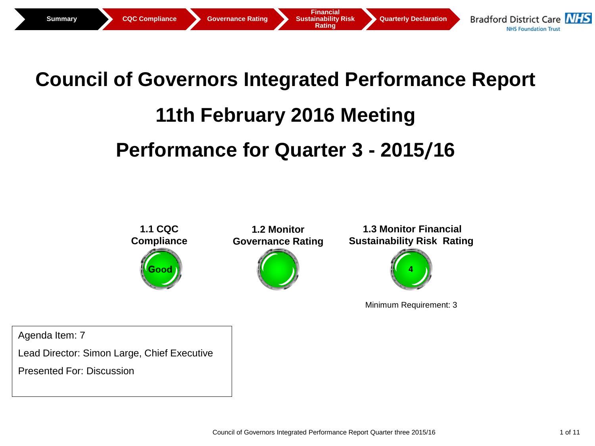

# **Council of Governors Integrated Performance Report 11th February 2016 Meeting**

## **Performance for Quarter 3 - 2015/16**



Minimum Requirement: 3

Agenda Item: 7

Lead Director: Simon Large, Chief Executive

Presented For: Discussion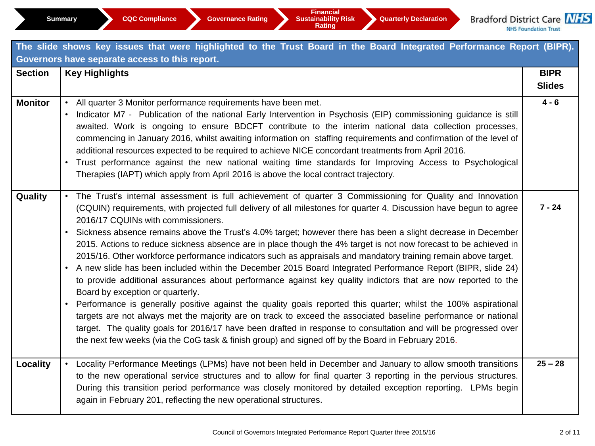| The slide shows key issues that were highlighted to the Trust Board in the Board Integrated Performance Report (BIPR). |                                                                                                                                                                                                                                                                                                                                                                                                                                                                                                                                                                                                                                                                                                                                                                                                                                                                                                                                                                                                                                                                                                                                                                                                                                                                                                                                                                 |                              |  |  |  |  |  |  |  |
|------------------------------------------------------------------------------------------------------------------------|-----------------------------------------------------------------------------------------------------------------------------------------------------------------------------------------------------------------------------------------------------------------------------------------------------------------------------------------------------------------------------------------------------------------------------------------------------------------------------------------------------------------------------------------------------------------------------------------------------------------------------------------------------------------------------------------------------------------------------------------------------------------------------------------------------------------------------------------------------------------------------------------------------------------------------------------------------------------------------------------------------------------------------------------------------------------------------------------------------------------------------------------------------------------------------------------------------------------------------------------------------------------------------------------------------------------------------------------------------------------|------------------------------|--|--|--|--|--|--|--|
| Governors have separate access to this report.                                                                         |                                                                                                                                                                                                                                                                                                                                                                                                                                                                                                                                                                                                                                                                                                                                                                                                                                                                                                                                                                                                                                                                                                                                                                                                                                                                                                                                                                 |                              |  |  |  |  |  |  |  |
| <b>Section</b>                                                                                                         | <b>Key Highlights</b>                                                                                                                                                                                                                                                                                                                                                                                                                                                                                                                                                                                                                                                                                                                                                                                                                                                                                                                                                                                                                                                                                                                                                                                                                                                                                                                                           | <b>BIPR</b><br><b>Slides</b> |  |  |  |  |  |  |  |
| <b>Monitor</b>                                                                                                         | • All quarter 3 Monitor performance requirements have been met.<br>Indicator M7 - Publication of the national Early Intervention in Psychosis (EIP) commissioning guidance is still<br>awaited. Work is ongoing to ensure BDCFT contribute to the interim national data collection processes,<br>commencing in January 2016, whilst awaiting information on staffing requirements and confirmation of the level of<br>additional resources expected to be required to achieve NICE concordant treatments from April 2016.<br>Trust performance against the new national waiting time standards for Improving Access to Psychological<br>Therapies (IAPT) which apply from April 2016 is above the local contract trajectory.                                                                                                                                                                                                                                                                                                                                                                                                                                                                                                                                                                                                                                    | $4 - 6$                      |  |  |  |  |  |  |  |
| Quality                                                                                                                | The Trust's internal assessment is full achievement of quarter 3 Commissioning for Quality and Innovation<br>(CQUIN) requirements, with projected full delivery of all milestones for quarter 4. Discussion have begun to agree<br>2016/17 CQUINs with commissioners.<br>Sickness absence remains above the Trust's 4.0% target; however there has been a slight decrease in December<br>2015. Actions to reduce sickness absence are in place though the 4% target is not now forecast to be achieved in<br>2015/16. Other workforce performance indicators such as appraisals and mandatory training remain above target.<br>• A new slide has been included within the December 2015 Board Integrated Performance Report (BIPR, slide 24)<br>to provide additional assurances about performance against key quality indictors that are now reported to the<br>Board by exception or quarterly.<br>Performance is generally positive against the quality goals reported this quarter; whilst the 100% aspirational<br>targets are not always met the majority are on track to exceed the associated baseline performance or national<br>target. The quality goals for 2016/17 have been drafted in response to consultation and will be progressed over<br>the next few weeks (via the CoG task & finish group) and signed off by the Board in February 2016. | $7 - 24$                     |  |  |  |  |  |  |  |
| <b>Locality</b>                                                                                                        | Locality Performance Meetings (LPMs) have not been held in December and January to allow smooth transitions<br>to the new operational service structures and to allow for final quarter 3 reporting in the pervious structures.<br>During this transition period performance was closely monitored by detailed exception reporting. LPMs begin<br>again in February 201, reflecting the new operational structures.                                                                                                                                                                                                                                                                                                                                                                                                                                                                                                                                                                                                                                                                                                                                                                                                                                                                                                                                             | $25 - 28$                    |  |  |  |  |  |  |  |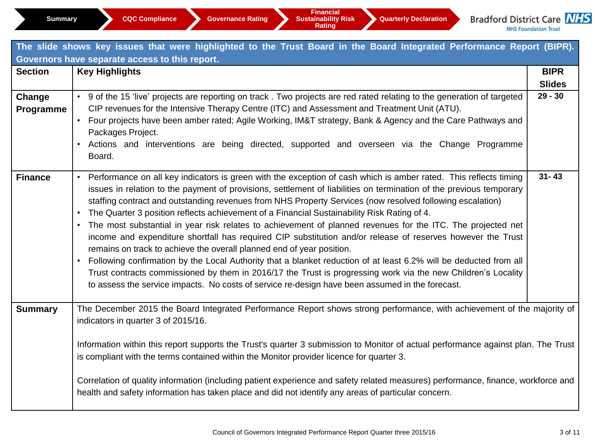|                                                | The slide shows key issues that were highlighted to the Trust Board in the Board Integrated Performance Report (BIPR).                                                                                                                                                                                                                                                                                                                                                                                                                                                                                                                                                                                                                                                                                                                                                                                                                                                                                                                                                                                                        |                              |  |  |  |  |  |  |  |
|------------------------------------------------|-------------------------------------------------------------------------------------------------------------------------------------------------------------------------------------------------------------------------------------------------------------------------------------------------------------------------------------------------------------------------------------------------------------------------------------------------------------------------------------------------------------------------------------------------------------------------------------------------------------------------------------------------------------------------------------------------------------------------------------------------------------------------------------------------------------------------------------------------------------------------------------------------------------------------------------------------------------------------------------------------------------------------------------------------------------------------------------------------------------------------------|------------------------------|--|--|--|--|--|--|--|
| Governors have separate access to this report. |                                                                                                                                                                                                                                                                                                                                                                                                                                                                                                                                                                                                                                                                                                                                                                                                                                                                                                                                                                                                                                                                                                                               |                              |  |  |  |  |  |  |  |
| <b>Section</b>                                 | <b>Key Highlights</b>                                                                                                                                                                                                                                                                                                                                                                                                                                                                                                                                                                                                                                                                                                                                                                                                                                                                                                                                                                                                                                                                                                         | <b>BIPR</b><br><b>Slides</b> |  |  |  |  |  |  |  |
| Change<br>Programme                            | • 9 of the 15 'live' projects are reporting on track. Two projects are red rated relating to the generation of targeted<br>CIP revenues for the Intensive Therapy Centre (ITC) and Assessment and Treatment Unit (ATU).<br>Four projects have been amber rated; Agile Working, IM&T strategy, Bank & Agency and the Care Pathways and<br>Packages Project.<br>Actions and interventions are being directed, supported and overseen via the Change Programme<br>Board.                                                                                                                                                                                                                                                                                                                                                                                                                                                                                                                                                                                                                                                         | $29 - 30$                    |  |  |  |  |  |  |  |
| <b>Finance</b>                                 | Performance on all key indicators is green with the exception of cash which is amber rated. This reflects timing<br>$\bullet$<br>issues in relation to the payment of provisions, settlement of liabilities on termination of the previous temporary<br>staffing contract and outstanding revenues from NHS Property Services (now resolved following escalation)<br>The Quarter 3 position reflects achievement of a Financial Sustainability Risk Rating of 4.<br>The most substantial in year risk relates to achievement of planned revenues for the ITC. The projected net<br>income and expenditure shortfall has required CIP substitution and/or release of reserves however the Trust<br>remains on track to achieve the overall planned end of year position.<br>Following confirmation by the Local Authority that a blanket reduction of at least 6.2% will be deducted from all<br>$\bullet$<br>Trust contracts commissioned by them in 2016/17 the Trust is progressing work via the new Children's Locality<br>to assess the service impacts. No costs of service re-design have been assumed in the forecast. | $31 - 43$                    |  |  |  |  |  |  |  |
| <b>Summary</b>                                 | The December 2015 the Board Integrated Performance Report shows strong performance, with achievement of the majority of<br>indicators in quarter 3 of 2015/16.<br>Information within this report supports the Trust's quarter 3 submission to Monitor of actual performance against plan. The Trust<br>is compliant with the terms contained within the Monitor provider licence for quarter 3.<br>Correlation of quality information (including patient experience and safety related measures) performance, finance, workforce and<br>health and safety information has taken place and did not identify any areas of particular concern.                                                                                                                                                                                                                                                                                                                                                                                                                                                                                   |                              |  |  |  |  |  |  |  |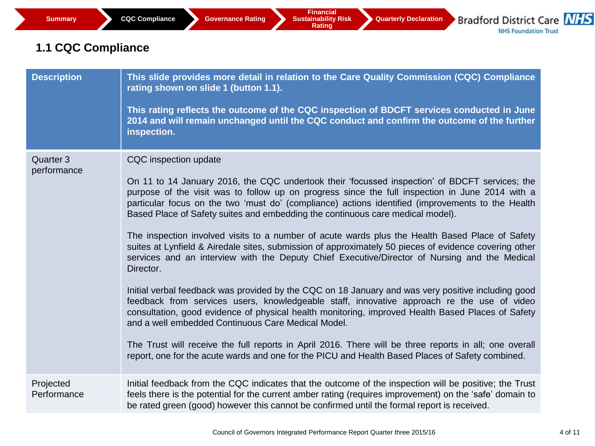### **1.1 CQC Compliance**

| <b>Description</b>       | This slide provides more detail in relation to the Care Quality Commission (CQC) Compliance<br>rating shown on slide 1 (button 1.1).<br>This rating reflects the outcome of the CQC inspection of BDCFT services conducted in June<br>2014 and will remain unchanged until the CQC conduct and confirm the outcome of the further<br>inspection.                                                                                                                                                                                                                                                                                                                                                                                                                                                                                                                                                                                                                                                                                                                                                                                                                                                                                                                                                                         |
|--------------------------|--------------------------------------------------------------------------------------------------------------------------------------------------------------------------------------------------------------------------------------------------------------------------------------------------------------------------------------------------------------------------------------------------------------------------------------------------------------------------------------------------------------------------------------------------------------------------------------------------------------------------------------------------------------------------------------------------------------------------------------------------------------------------------------------------------------------------------------------------------------------------------------------------------------------------------------------------------------------------------------------------------------------------------------------------------------------------------------------------------------------------------------------------------------------------------------------------------------------------------------------------------------------------------------------------------------------------|
| Quarter 3<br>performance | CQC inspection update<br>On 11 to 14 January 2016, the CQC undertook their 'focussed inspection' of BDCFT services; the<br>purpose of the visit was to follow up on progress since the full inspection in June 2014 with a<br>particular focus on the two 'must do' (compliance) actions identified (improvements to the Health<br>Based Place of Safety suites and embedding the continuous care medical model).<br>The inspection involved visits to a number of acute wards plus the Health Based Place of Safety<br>suites at Lynfield & Airedale sites, submission of approximately 50 pieces of evidence covering other<br>services and an interview with the Deputy Chief Executive/Director of Nursing and the Medical<br>Director.<br>Initial verbal feedback was provided by the CQC on 18 January and was very positive including good<br>feedback from services users, knowledgeable staff, innovative approach re the use of video<br>consultation, good evidence of physical health monitoring, improved Health Based Places of Safety<br>and a well embedded Continuous Care Medical Model.<br>The Trust will receive the full reports in April 2016. There will be three reports in all; one overall<br>report, one for the acute wards and one for the PICU and Health Based Places of Safety combined. |
| Projected<br>Performance | Initial feedback from the CQC indicates that the outcome of the inspection will be positive; the Trust<br>feels there is the potential for the current amber rating (requires improvement) on the 'safe' domain to<br>be rated green (good) however this cannot be confirmed until the formal report is received.                                                                                                                                                                                                                                                                                                                                                                                                                                                                                                                                                                                                                                                                                                                                                                                                                                                                                                                                                                                                        |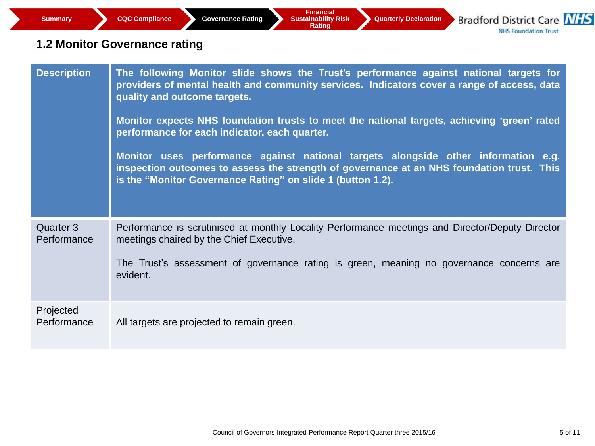### **1.2 Monitor Governance rating**

| <b>Description</b>       | The following Monitor slide shows the Trust's performance against national targets for<br>providers of mental health and community services. Indicators cover a range of access, data<br>quality and outcome targets.<br>Monitor expects NHS foundation trusts to meet the national targets, achieving 'green' rated<br>performance for each indicator, each quarter.<br>Monitor uses performance against national targets alongside other information e.g.<br>inspection outcomes to assess the strength of governance at an NHS foundation trust. This<br>is the "Monitor Governance Rating" on slide 1 (button 1.2). |
|--------------------------|-------------------------------------------------------------------------------------------------------------------------------------------------------------------------------------------------------------------------------------------------------------------------------------------------------------------------------------------------------------------------------------------------------------------------------------------------------------------------------------------------------------------------------------------------------------------------------------------------------------------------|
| Quarter 3<br>Performance | Performance is scrutinised at monthly Locality Performance meetings and Director/Deputy Director<br>meetings chaired by the Chief Executive.<br>The Trust's assessment of governance rating is green, meaning no governance concerns are<br>evident.                                                                                                                                                                                                                                                                                                                                                                    |
| Projected<br>Performance | All targets are projected to remain green.                                                                                                                                                                                                                                                                                                                                                                                                                                                                                                                                                                              |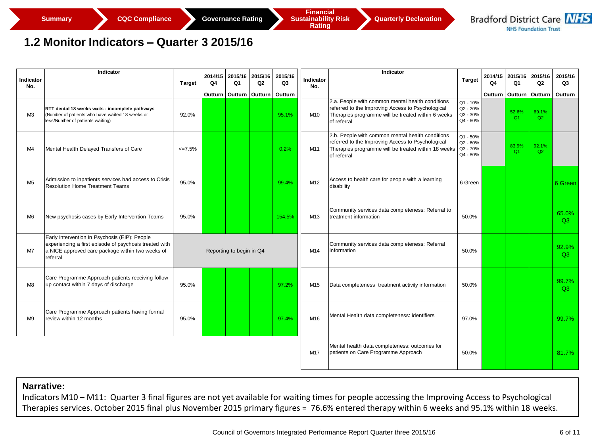#### **1.2 Monitor Indicators – Quarter 3 2015/16**

| Indicator<br>No. | Indicator                                                                                                                                                               | Target                   | 2014/15<br>Q4 | 2015/16<br>Q <sub>1</sub> | 2015/16<br>Q2                                                 | 2015/16<br>Q3 | Indicator<br>No. | Indicator                                                                                                                                                                   | <b>Target</b>                                | 2014/15<br>Q4 | 2015/16<br>Q1  | 2015/16<br>Q <sub>2</sub> | 2015/16<br>Q3 |
|------------------|-------------------------------------------------------------------------------------------------------------------------------------------------------------------------|--------------------------|---------------|---------------------------|---------------------------------------------------------------|---------------|------------------|-----------------------------------------------------------------------------------------------------------------------------------------------------------------------------|----------------------------------------------|---------------|----------------|---------------------------|---------------|
|                  |                                                                                                                                                                         |                          |               |                           | Outturn   Outturn   Outturn   Outturn                         |               |                  |                                                                                                                                                                             |                                              | Outturn       | <b>Outturn</b> | Outturn                   | Outturn       |
| M <sub>3</sub>   | RTT dental 18 weeks waits - incomplete pathways<br>(Number of patients who have waited 18 weeks or<br>less/Number of patients waiting)                                  | 92.0%                    |               |                           |                                                               | 95.1%         | M10              | 2.a. People with common mental health conditions<br>referred to the Improving Access to Psychological<br>Therapies programme will be treated within 6 weeks<br>of referral  | Q1 - 10%<br>Q2 - 20%<br>Q3 - 30%<br>Q4 - 60% |               | 52.6%<br>Q1    | 69.1%<br>Q2               |               |
| M4               | Mental Health Delayed Transfers of Care                                                                                                                                 | $\leq$ 7.5%              |               |                           |                                                               | 0.2%          | M11              | 2.b. People with common mental health conditions<br>referred to the Improving Access to Psychological<br>Therapies programme will be treated within 18 weeks<br>of referral | Q1 - 50%<br>Q2 - 60%<br>Q3 - 70%<br>Q4 - 80% |               | 83.9%<br>O1    | 92.1%<br>Q2               |               |
| M <sub>5</sub>   | Admission to inpatients services had access to Crisis<br>Resolution Home Treatment Teams                                                                                | 95.0%                    |               |                           |                                                               | 99.4%         | M12              | Access to health care for people with a learning<br>disability                                                                                                              | 6 Green                                      |               |                |                           | 6 Green       |
| M <sub>6</sub>   | New psychosis cases by Early Intervention Teams                                                                                                                         | 95.0%                    |               |                           |                                                               | 154.5%        | M13              | Community services data completeness: Referral to<br>treatment information                                                                                                  | 50.0%                                        |               |                |                           | 65.0%<br>Q3   |
| M7               | Early intervention in Psychosis (EIP): People<br>experiencing a first episode of psychosis treated with<br>a NICE approved care package within two weeks of<br>referral | Reporting to begin in Q4 |               | M14                       | Community services data completeness: Referral<br>information | 50.0%         |                  |                                                                                                                                                                             |                                              | 92.9%<br>O3   |                |                           |               |
| M <sub>8</sub>   | Care Programme Approach patients receiving follow-<br>up contact within 7 days of discharge                                                                             | 95.0%                    |               |                           |                                                               | 97.2%         | M <sub>15</sub>  | Data completeness treatment activity information                                                                                                                            | 50.0%                                        |               |                |                           | 99.7%<br>O3   |
| M <sub>9</sub>   | Care Programme Approach patients having formal<br>review within 12 months                                                                                               | 95.0%                    |               |                           |                                                               | 97.4%         | M16              | Mental Health data completeness: identifiers                                                                                                                                | 97.0%                                        |               |                |                           | 99.7%         |
|                  |                                                                                                                                                                         |                          |               |                           |                                                               |               | M17              | Mental health data completeness: outcomes for<br>patients on Care Programme Approach                                                                                        | 50.0%                                        |               |                |                           | 81.7%         |

#### **Narrative:**

Indicators M10 – M11: Quarter 3 final figures are not yet available for waiting times for people accessing the Improving Access to Psychological Therapies services. October 2015 final plus November 2015 primary figures = 76.6% entered therapy within 6 weeks and 95.1% within 18 weeks.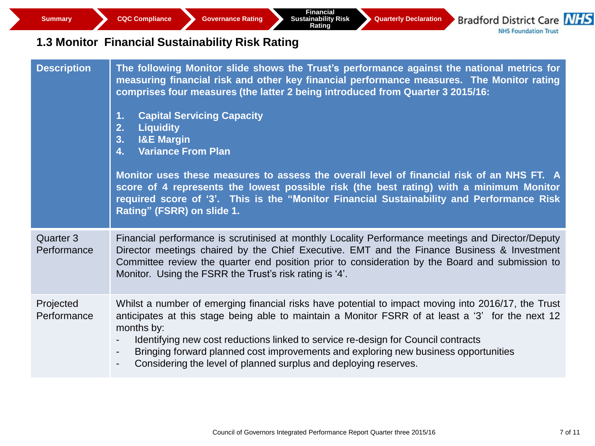**Summary CQC Compliance Governance Rating** 

**Financial Sustainability Risk Rating** 

**Quarterly Declaration**

**Bradford District Care NHS NHS Foundation Trust** 

### **1.3 Monitor Financial Sustainability Risk Rating**

| <b>Description</b>       | The following Monitor slide shows the Trust's performance against the national metrics for<br>measuring financial risk and other key financial performance measures. The Monitor rating<br>comprises four measures (the latter 2 being introduced from Quarter 3 2015/16:<br><b>Capital Servicing Capacity</b><br>1.<br>2.<br><b>Liquidity</b><br>3.<br><b>I&amp;E Margin</b><br><b>Variance From Plan</b><br>4.<br>Monitor uses these measures to assess the overall level of financial risk of an NHS FT. A<br>score of 4 represents the lowest possible risk (the best rating) with a minimum Monitor<br>required score of '3'. This is the "Monitor Financial Sustainability and Performance Risk<br>Rating" (FSRR) on slide 1. |
|--------------------------|-------------------------------------------------------------------------------------------------------------------------------------------------------------------------------------------------------------------------------------------------------------------------------------------------------------------------------------------------------------------------------------------------------------------------------------------------------------------------------------------------------------------------------------------------------------------------------------------------------------------------------------------------------------------------------------------------------------------------------------|
| Quarter 3<br>Performance | Financial performance is scrutinised at monthly Locality Performance meetings and Director/Deputy<br>Director meetings chaired by the Chief Executive. EMT and the Finance Business & Investment<br>Committee review the quarter end position prior to consideration by the Board and submission to<br>Monitor. Using the FSRR the Trust's risk rating is '4'.                                                                                                                                                                                                                                                                                                                                                                      |
| Projected<br>Performance | Whilst a number of emerging financial risks have potential to impact moving into 2016/17, the Trust<br>anticipates at this stage being able to maintain a Monitor FSRR of at least a '3' for the next 12<br>months by:<br>Identifying new cost reductions linked to service re-design for Council contracts<br>Bringing forward planned cost improvements and exploring new business opportunities<br>۰.<br>Considering the level of planned surplus and deploying reserves.<br>$\blacksquare$                                                                                                                                                                                                                                      |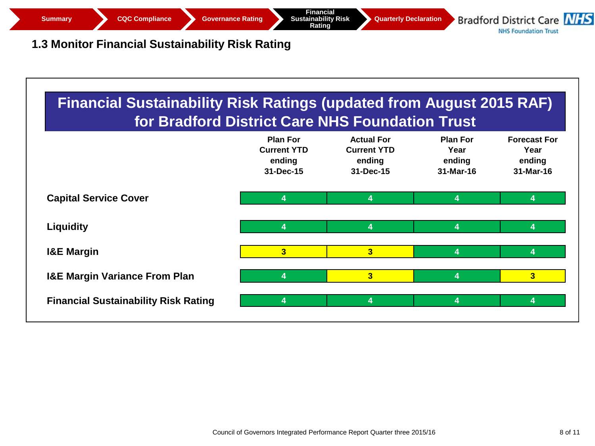

### **1.3 Monitor Financial Sustainability Risk Rating**

| <b>Financial Sustainability Risk Ratings (updated from August 2015 RAF)</b><br>for Bradford District Care NHS Foundation Trust |                                                              |                                                                |                                                |                                                    |
|--------------------------------------------------------------------------------------------------------------------------------|--------------------------------------------------------------|----------------------------------------------------------------|------------------------------------------------|----------------------------------------------------|
|                                                                                                                                | <b>Plan For</b><br><b>Current YTD</b><br>ending<br>31-Dec-15 | <b>Actual For</b><br><b>Current YTD</b><br>ending<br>31-Dec-15 | <b>Plan For</b><br>Year<br>ending<br>31-Mar-16 | <b>Forecast For</b><br>Year<br>ending<br>31-Mar-16 |
| <b>Capital Service Cover</b>                                                                                                   | 4                                                            | 4                                                              | 4                                              | 4                                                  |
| <b>Liquidity</b>                                                                                                               | 4                                                            | 4                                                              | 4                                              | 4                                                  |
| <b>I&amp;E Margin</b>                                                                                                          | $\overline{3}$                                               | 3                                                              | 4                                              | 4                                                  |
| <b>I&amp;E Margin Variance From Plan</b>                                                                                       | 4                                                            | 3                                                              | 4                                              | 3                                                  |
| <b>Financial Sustainability Risk Rating</b>                                                                                    | 4                                                            | 4                                                              | 4                                              | 4                                                  |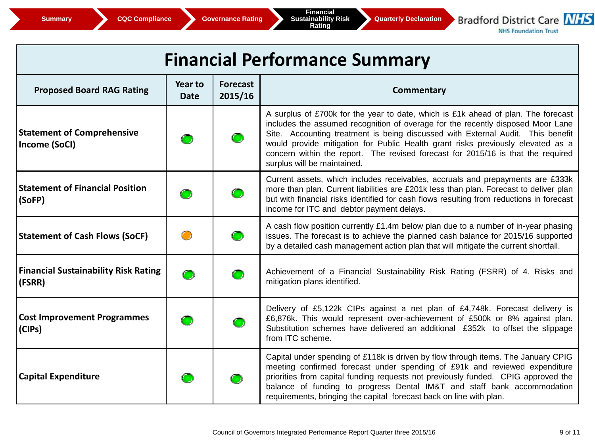Bradford District Care NHS

**NHS Foundation Trust** 

| <b>Financial Performance Summary</b>                  |                        |                            |                                                                                                                                                                                                                                                                                                                                                                                                                                                               |  |  |  |  |  |
|-------------------------------------------------------|------------------------|----------------------------|---------------------------------------------------------------------------------------------------------------------------------------------------------------------------------------------------------------------------------------------------------------------------------------------------------------------------------------------------------------------------------------------------------------------------------------------------------------|--|--|--|--|--|
| <b>Proposed Board RAG Rating</b>                      | Year to<br><b>Date</b> | <b>Forecast</b><br>2015/16 | <b>Commentary</b>                                                                                                                                                                                                                                                                                                                                                                                                                                             |  |  |  |  |  |
| <b>Statement of Comprehensive</b><br>Income (SoCI)    |                        |                            | A surplus of £700k for the year to date, which is £1k ahead of plan. The forecast<br>includes the assumed recognition of overage for the recently disposed Moor Lane<br>Site. Accounting treatment is being discussed with External Audit. This benefit<br>would provide mitigation for Public Health grant risks previously elevated as a<br>concern within the report. The revised forecast for 2015/16 is that the required<br>surplus will be maintained. |  |  |  |  |  |
| <b>Statement of Financial Position</b><br>(SoFP)      |                        | $\bullet$                  | Current assets, which includes receivables, accruals and prepayments are £333k<br>more than plan. Current liabilities are £201k less than plan. Forecast to deliver plan<br>but with financial risks identified for cash flows resulting from reductions in forecast<br>income for ITC and debtor payment delays.                                                                                                                                             |  |  |  |  |  |
| <b>Statement of Cash Flows (SoCF)</b>                 | $\bigcirc$             | $\bullet$                  | A cash flow position currently £1.4m below plan due to a number of in-year phasing<br>issues. The forecast is to achieve the planned cash balance for 2015/16 supported<br>by a detailed cash management action plan that will mitigate the current shortfall.                                                                                                                                                                                                |  |  |  |  |  |
| <b>Financial Sustainability Risk Rating</b><br>(FSRR) |                        |                            | Achievement of a Financial Sustainability Risk Rating (FSRR) of 4. Risks and<br>mitigation plans identified.                                                                                                                                                                                                                                                                                                                                                  |  |  |  |  |  |
| <b>Cost Improvement Programmes</b><br>(CIPs)          |                        | $\bullet$                  | Delivery of £5,122k CIPs against a net plan of £4,748k. Forecast delivery is<br>£6,876k. This would represent over-achievement of £500k or 8% against plan.<br>Substitution schemes have delivered an additional £352k to offset the slippage<br>from ITC scheme.                                                                                                                                                                                             |  |  |  |  |  |
| <b>Capital Expenditure</b>                            |                        |                            | Capital under spending of £118k is driven by flow through items. The January CPIG<br>meeting confirmed forecast under spending of £91k and reviewed expenditure<br>priorities from capital funding requests not previously funded. CPIG approved the<br>balance of funding to progress Dental IM&T and staff bank accommodation<br>requirements, bringing the capital forecast back on line with plan.                                                        |  |  |  |  |  |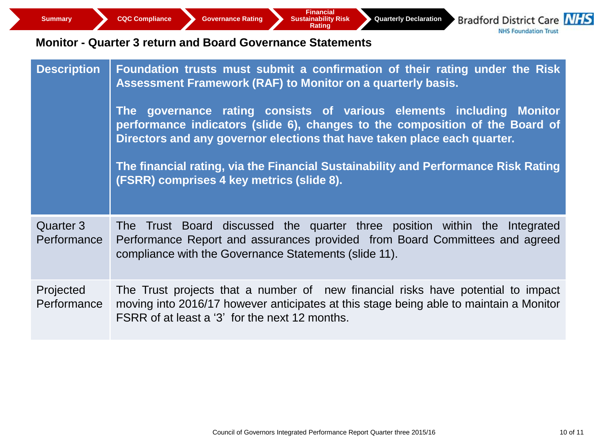**Quarterly Declaration**

**Bradford District Care NHS NHS Foundation Trust** 

#### **Monitor - Quarter 3 return and Board Governance Statements**

| <b>Description</b>       | Foundation trusts must submit a confirmation of their rating under the Risk<br>Assessment Framework (RAF) to Monitor on a quarterly basis.<br>The governance rating consists of various elements including Monitor<br>performance indicators (slide 6), changes to the composition of the Board of<br>Directors and any governor elections that have taken place each quarter.<br>The financial rating, via the Financial Sustainability and Performance Risk Rating<br>(FSRR) comprises 4 key metrics (slide 8). |
|--------------------------|-------------------------------------------------------------------------------------------------------------------------------------------------------------------------------------------------------------------------------------------------------------------------------------------------------------------------------------------------------------------------------------------------------------------------------------------------------------------------------------------------------------------|
| Quarter 3<br>Performance | The Trust Board discussed the quarter three position within the Integrated<br>Performance Report and assurances provided from Board Committees and agreed<br>compliance with the Governance Statements (slide 11).                                                                                                                                                                                                                                                                                                |
| Projected<br>Performance | The Trust projects that a number of new financial risks have potential to impact<br>moving into 2016/17 however anticipates at this stage being able to maintain a Monitor<br>FSRR of at least a '3' for the next 12 months.                                                                                                                                                                                                                                                                                      |